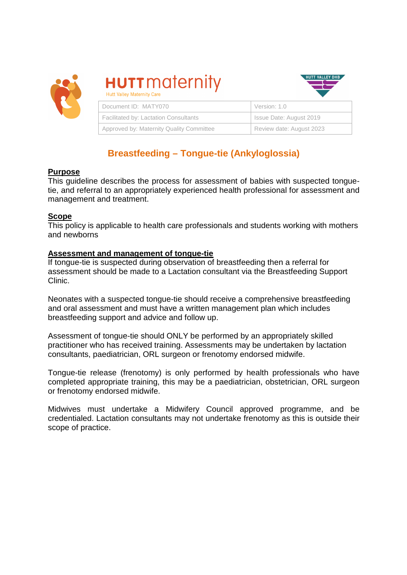

# **HUTT** maternity



| Document ID: MATY070                         | Version: 1.0             |
|----------------------------------------------|--------------------------|
| <b>Facilitated by: Lactation Consultants</b> | Issue Date: August 2019  |
| Approved by: Maternity Quality Committee     | Review date: August 2023 |

## **Breastfeeding – Tongue-tie (Ankyloglossia)**

#### **Purpose**

This guideline describes the process for assessment of babies with suspected tonguetie, and referral to an appropriately experienced health professional for assessment and management and treatment.

#### **Scope**

This policy is applicable to health care professionals and students working with mothers and newborns

### **Assessment and management of tongue-tie**

If tongue-tie is suspected during observation of breastfeeding then a referral for assessment should be made to a Lactation consultant via the Breastfeeding Support Clinic.

Neonates with a suspected tongue-tie should receive a comprehensive breastfeeding and oral assessment and must have a written management plan which includes breastfeeding support and advice and follow up.

Assessment of tongue-tie should ONLY be performed by an appropriately skilled practitioner who has received training. Assessments may be undertaken by lactation consultants, paediatrician, ORL surgeon or frenotomy endorsed midwife.

Tongue-tie release (frenotomy) is only performed by health professionals who have completed appropriate training, this may be a paediatrician, obstetrician, ORL surgeon or frenotomy endorsed midwife.

Midwives must undertake a Midwifery Council approved programme, and be credentialed. Lactation consultants may not undertake frenotomy as this is outside their scope of practice.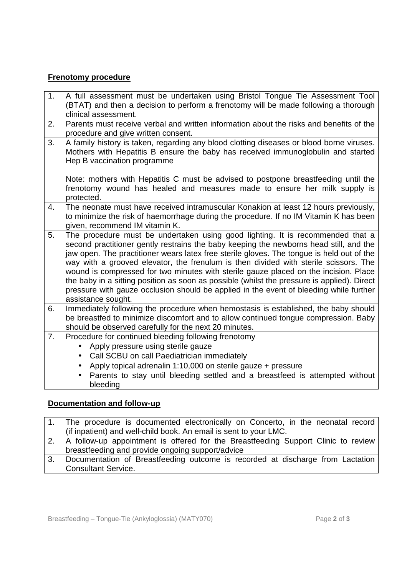### **Frenotomy procedure**

| 1. | A full assessment must be undertaken using Bristol Tongue Tie Assessment Tool<br>(BTAT) and then a decision to perform a frenotomy will be made following a thorough<br>clinical assessment.                                                                                                                                                                                                                                                                                                                                                                                                                                                                         |
|----|----------------------------------------------------------------------------------------------------------------------------------------------------------------------------------------------------------------------------------------------------------------------------------------------------------------------------------------------------------------------------------------------------------------------------------------------------------------------------------------------------------------------------------------------------------------------------------------------------------------------------------------------------------------------|
| 2. | Parents must receive verbal and written information about the risks and benefits of the<br>procedure and give written consent.                                                                                                                                                                                                                                                                                                                                                                                                                                                                                                                                       |
| 3. | A family history is taken, regarding any blood clotting diseases or blood borne viruses.<br>Mothers with Hepatitis B ensure the baby has received immunoglobulin and started<br>Hep B vaccination programme                                                                                                                                                                                                                                                                                                                                                                                                                                                          |
|    | Note: mothers with Hepatitis C must be advised to postpone breastfeeding until the<br>frenotomy wound has healed and measures made to ensure her milk supply is<br>protected.                                                                                                                                                                                                                                                                                                                                                                                                                                                                                        |
| 4. | The neonate must have received intramuscular Konakion at least 12 hours previously,<br>to minimize the risk of haemorrhage during the procedure. If no IM Vitamin K has been<br>given, recommend IM vitamin K.                                                                                                                                                                                                                                                                                                                                                                                                                                                       |
| 5. | The procedure must be undertaken using good lighting. It is recommended that a<br>second practitioner gently restrains the baby keeping the newborns head still, and the<br>jaw open. The practitioner wears latex free sterile gloves. The tongue is held out of the<br>way with a grooved elevator, the frenulum is then divided with sterile scissors. The<br>wound is compressed for two minutes with sterile gauze placed on the incision. Place<br>the baby in a sitting position as soon as possible (whilst the pressure is applied). Direct<br>pressure with gauze occlusion should be applied in the event of bleeding while further<br>assistance sought. |
| 6. | Immediately following the procedure when hemostasis is established, the baby should<br>be breastfed to minimize discomfort and to allow continued tongue compression. Baby<br>should be observed carefully for the next 20 minutes.                                                                                                                                                                                                                                                                                                                                                                                                                                  |
| 7. | Procedure for continued bleeding following frenotomy<br>Apply pressure using sterile gauze<br>$\bullet$<br>Call SCBU on call Paediatrician immediately<br>$\bullet$<br>Apply topical adrenalin 1:10,000 on sterile gauze + pressure<br>Parents to stay until bleeding settled and a breastfeed is attempted without<br>bleeding                                                                                                                                                                                                                                                                                                                                      |

## **Documentation and follow-up**

|    | 1. The procedure is documented electronically on Concerto, in the neonatal record      |
|----|----------------------------------------------------------------------------------------|
|    | (if inpatient) and well-child book. An email is sent to your LMC.                      |
|    | 2.   A follow-up appointment is offered for the Breastfeeding Support Clinic to review |
|    | breastfeeding and provide ongoing support/advice                                       |
| 3. | Documentation of Breastfeeding outcome is recorded at discharge from Lactation         |
|    | <b>Consultant Service.</b>                                                             |